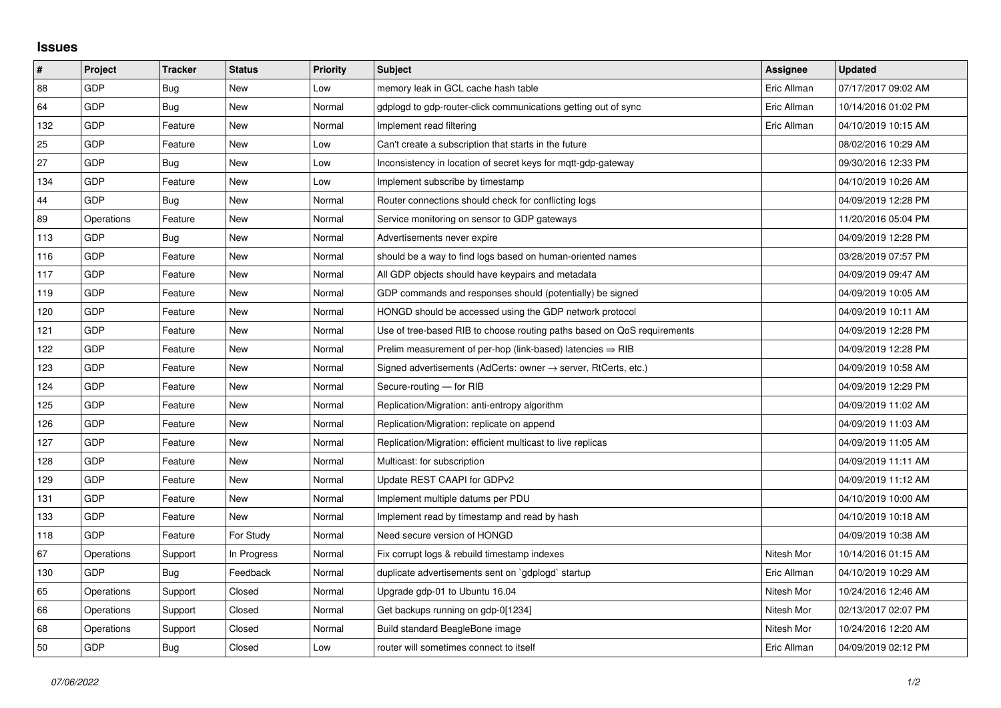## **Issues**

| #   | Project    | <b>Tracker</b> | <b>Status</b> | <b>Priority</b> | <b>Subject</b>                                                          | <b>Assignee</b> | <b>Updated</b>      |
|-----|------------|----------------|---------------|-----------------|-------------------------------------------------------------------------|-----------------|---------------------|
| 88  | GDP        | Bug            | <b>New</b>    | Low             | memory leak in GCL cache hash table                                     | Eric Allman     | 07/17/2017 09:02 AM |
| 64  | GDP        | Bug            | New           | Normal          | gdplogd to gdp-router-click communications getting out of sync          | Eric Allman     | 10/14/2016 01:02 PM |
| 132 | GDP        | Feature        | New           | Normal          | Implement read filtering                                                | Eric Allman     | 04/10/2019 10:15 AM |
| 25  | GDP        | Feature        | <b>New</b>    | Low             | Can't create a subscription that starts in the future                   |                 | 08/02/2016 10:29 AM |
| 27  | GDP        | Bug            | New           | Low             | Inconsistency in location of secret keys for mqtt-gdp-gateway           |                 | 09/30/2016 12:33 PM |
| 134 | GDP        | Feature        | New           | Low             | Implement subscribe by timestamp                                        |                 | 04/10/2019 10:26 AM |
| 44  | GDP        | Bug            | <b>New</b>    | Normal          | Router connections should check for conflicting logs                    |                 | 04/09/2019 12:28 PM |
| 89  | Operations | Feature        | New           | Normal          | Service monitoring on sensor to GDP gateways                            |                 | 11/20/2016 05:04 PM |
| 113 | GDP        | <b>Bug</b>     | <b>New</b>    | Normal          | Advertisements never expire                                             |                 | 04/09/2019 12:28 PM |
| 116 | GDP        | Feature        | New           | Normal          | should be a way to find logs based on human-oriented names              |                 | 03/28/2019 07:57 PM |
| 117 | GDP        | Feature        | New           | Normal          | All GDP objects should have keypairs and metadata                       |                 | 04/09/2019 09:47 AM |
| 119 | GDP        | Feature        | New           | Normal          | GDP commands and responses should (potentially) be signed               |                 | 04/09/2019 10:05 AM |
| 120 | GDP        | Feature        | New           | Normal          | HONGD should be accessed using the GDP network protocol                 |                 | 04/09/2019 10:11 AM |
| 121 | GDP        | Feature        | New           | Normal          | Use of tree-based RIB to choose routing paths based on QoS requirements |                 | 04/09/2019 12:28 PM |
| 122 | GDP        | Feature        | <b>New</b>    | Normal          | Prelim measurement of per-hop (link-based) latencies $\Rightarrow$ RIB  |                 | 04/09/2019 12:28 PM |
| 123 | GDP        | Feature        | New           | Normal          | Signed advertisements (AdCerts: owner → server, RtCerts, etc.)          |                 | 04/09/2019 10:58 AM |
| 124 | GDP        | Feature        | New           | Normal          | Secure-routing - for RIB                                                |                 | 04/09/2019 12:29 PM |
| 125 | GDP        | Feature        | New           | Normal          | Replication/Migration: anti-entropy algorithm                           |                 | 04/09/2019 11:02 AM |
| 126 | GDP        | Feature        | New           | Normal          | Replication/Migration: replicate on append                              |                 | 04/09/2019 11:03 AM |
| 127 | GDP        | Feature        | New           | Normal          | Replication/Migration: efficient multicast to live replicas             |                 | 04/09/2019 11:05 AM |
| 128 | GDP        | Feature        | New           | Normal          | Multicast: for subscription                                             |                 | 04/09/2019 11:11 AM |
| 129 | GDP        | Feature        | New           | Normal          | Update REST CAAPI for GDPv2                                             |                 | 04/09/2019 11:12 AM |
| 131 | GDP        | Feature        | <b>New</b>    | Normal          | Implement multiple datums per PDU                                       |                 | 04/10/2019 10:00 AM |
| 133 | GDP        | Feature        | New           | Normal          | Implement read by timestamp and read by hash                            |                 | 04/10/2019 10:18 AM |
| 118 | GDP        | Feature        | For Study     | Normal          | Need secure version of HONGD                                            |                 | 04/09/2019 10:38 AM |
| 67  | Operations | Support        | In Progress   | Normal          | Fix corrupt logs & rebuild timestamp indexes                            | Nitesh Mor      | 10/14/2016 01:15 AM |
| 130 | GDP        | Bug            | Feedback      | Normal          | duplicate advertisements sent on `gdplogd` startup                      | Eric Allman     | 04/10/2019 10:29 AM |
| 65  | Operations | Support        | Closed        | Normal          | Upgrade gdp-01 to Ubuntu 16.04                                          | Nitesh Mor      | 10/24/2016 12:46 AM |
| 66  | Operations | Support        | Closed        | Normal          | Get backups running on gdp-0[1234]                                      | Nitesh Mor      | 02/13/2017 02:07 PM |
| 68  | Operations | Support        | Closed        | Normal          | Build standard BeagleBone image                                         | Nitesh Mor      | 10/24/2016 12:20 AM |
| 50  | GDP        | Bug            | Closed        | Low             | router will sometimes connect to itself                                 | Eric Allman     | 04/09/2019 02:12 PM |